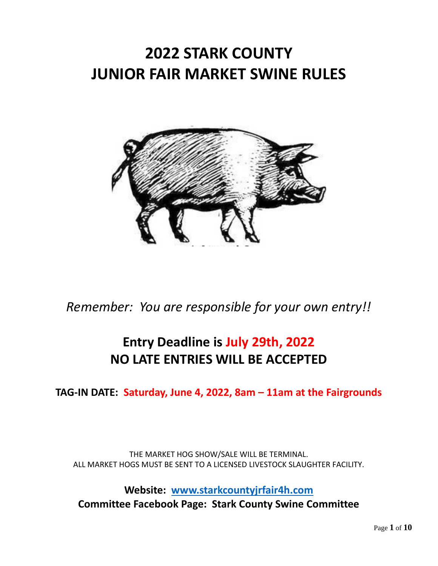# **2022 STARK COUNTY JUNIOR FAIR MARKET SWINE RULES**



*Remember: You are responsible for your own entry!!*

# **Entry Deadline is July 29th, 2022 NO LATE ENTRIES WILL BE ACCEPTED**

**TAG-IN DATE: Saturday, June 4, 2022, 8am – 11am at the Fairgrounds**

THE MARKET HOG SHOW/SALE WILL BE TERMINAL. ALL MARKET HOGS MUST BE SENT TO A LICENSED LIVESTOCK SLAUGHTER FACILITY.

**Website: [www.starkcountyjrfair4h.com](http://www.starkcountyjrfair4h.com/) Committee Facebook Page: Stark County Swine Committee**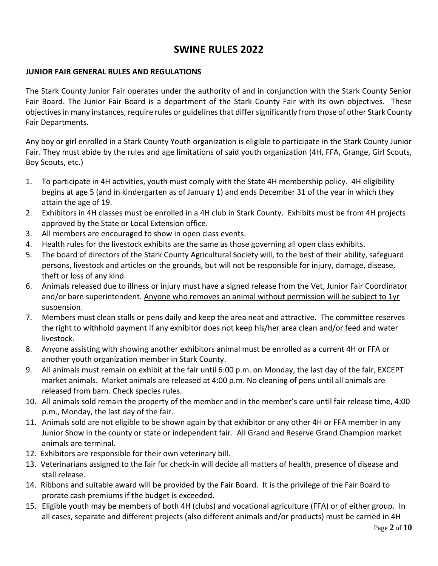## **SWINE RULES 2022**

#### **JUNIOR FAIR GENERAL RULES AND REGULATIONS**

The Stark County Junior Fair operates under the authority of and in conjunction with the Stark County Senior Fair Board. The Junior Fair Board is a department of the Stark County Fair with its own objectives. These objectives in many instances, require rules or guidelines that differ significantly from those of other Stark County Fair Departments.

Any boy or girl enrolled in a Stark County Youth organization is eligible to participate in the Stark County Junior Fair. They must abide by the rules and age limitations of said youth organization (4H, FFA, Grange, Girl Scouts, Boy Scouts, etc.)

- 1. To participate in 4H activities, youth must comply with the State 4H membership policy. 4H eligibility begins at age 5 (and in kindergarten as of January 1) and ends December 31 of the year in which they attain the age of 19.
- 2. Exhibitors in 4H classes must be enrolled in a 4H club in Stark County. Exhibits must be from 4H projects approved by the State or Local Extension office.
- 3. All members are encouraged to show in open class events.
- 4. Health rules for the livestock exhibits are the same as those governing all open class exhibits.
- 5. The board of directors of the Stark County Agricultural Society will, to the best of their ability, safeguard persons, livestock and articles on the grounds, but will not be responsible for injury, damage, disease, theft or loss of any kind.
- 6. Animals released due to illness or injury must have a signed release from the Vet, Junior Fair Coordinator and/or barn superintendent. Anyone who removes an animal without permission will be subject to 1yr suspension.
- 7. Members must clean stalls or pens daily and keep the area neat and attractive. The committee reserves the right to withhold payment if any exhibitor does not keep his/her area clean and/or feed and water livestock.
- 8. Anyone assisting with showing another exhibitors animal must be enrolled as a current 4H or FFA or another youth organization member in Stark County.
- 9. All animals must remain on exhibit at the fair until 6:00 p.m. on Monday, the last day of the fair, EXCEPT market animals. Market animals are released at 4:00 p.m. No cleaning of pens until all animals are released from barn. Check species rules.
- 10. All animals sold remain the property of the member and in the member's care until fair release time, 4:00 p.m., Monday, the last day of the fair.
- 11. Animals sold are not eligible to be shown again by that exhibitor or any other 4H or FFA member in any Junior Show in the county or state or independent fair. All Grand and Reserve Grand Champion market animals are terminal.
- 12. Exhibitors are responsible for their own veterinary bill.
- 13. Veterinarians assigned to the fair for check-in will decide all matters of health, presence of disease and stall release.
- 14. Ribbons and suitable award will be provided by the Fair Board. It is the privilege of the Fair Board to prorate cash premiums if the budget is exceeded.
- 15. Eligible youth may be members of both 4H (clubs) and vocational agriculture (FFA) or of either group. In all cases, separate and different projects (also different animals and/or products) must be carried in 4H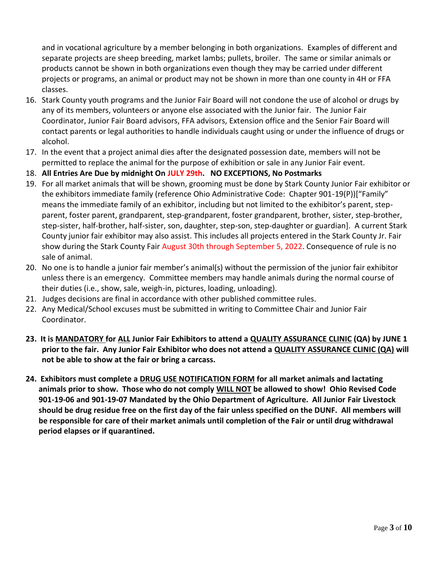and in vocational agriculture by a member belonging in both organizations. Examples of different and separate projects are sheep breeding, market lambs; pullets, broiler. The same or similar animals or products cannot be shown in both organizations even though they may be carried under different projects or programs, an animal or product may not be shown in more than one county in 4H or FFA classes.

- 16. Stark County youth programs and the Junior Fair Board will not condone the use of alcohol or drugs by any of its members, volunteers or anyone else associated with the Junior fair. The Junior Fair Coordinator, Junior Fair Board advisors, FFA advisors, Extension office and the Senior Fair Board will contact parents or legal authorities to handle individuals caught using or under the influence of drugs or alcohol.
- 17. In the event that a project animal dies after the designated possession date, members will not be permitted to replace the animal for the purpose of exhibition or sale in any Junior Fair event.
- 18. **All Entries Are Due by midnight On JULY 29th. NO EXCEPTIONS, No Postmarks**
- 19. For all market animals that will be shown, grooming must be done by Stark County Junior Fair exhibitor or the exhibitors immediate family (reference Ohio Administrative Code: Chapter 901-19(P))["Family" means the immediate family of an exhibitor, including but not limited to the exhibitor's parent, stepparent, foster parent, grandparent, step-grandparent, foster grandparent, brother, sister, step-brother, step-sister, half-brother, half-sister, son, daughter, step-son, step-daughter or guardian]. A current Stark County junior fair exhibitor may also assist. This includes all projects entered in the Stark County Jr. Fair show during the Stark County Fair August 30th through September 5, 2022. Consequence of rule is no sale of animal.
- 20. No one is to handle a junior fair member's animal(s) without the permission of the junior fair exhibitor unless there is an emergency. Committee members may handle animals during the normal course of their duties (i.e., show, sale, weigh-in, pictures, loading, unloading).
- 21. Judges decisions are final in accordance with other published committee rules.
- 22. Any Medical/School excuses must be submitted in writing to Committee Chair and Junior Fair Coordinator.
- **23. It is MANDATORY for ALL Junior Fair Exhibitors to attend a QUALITY ASSURANCE CLINIC (QA) by JUNE 1 prior to the fair. Any Junior Fair Exhibitor who does not attend a QUALITY ASSURANCE CLINIC (QA) will not be able to show at the fair or bring a carcass.**
- **24. Exhibitors must complete a DRUG USE NOTIFICATION FORM for all market animals and lactating animals prior to show. Those who do not comply WILL NOT be allowed to show! Ohio Revised Code 901-19-06 and 901-19-07 Mandated by the Ohio Department of Agriculture. All Junior Fair Livestock should be drug residue free on the first day of the fair unless specified on the DUNF. All members will be responsible for care of their market animals until completion of the Fair or until drug withdrawal period elapses or if quarantined.**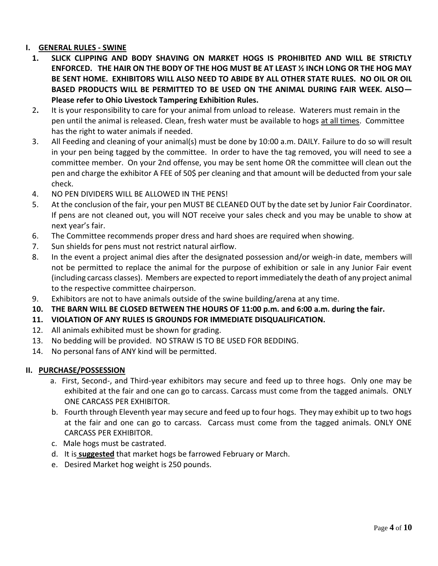### **I. GENERAL RULES - SWINE**

- **1. SLICK CLIPPING AND BODY SHAVING ON MARKET HOGS IS PROHIBITED AND WILL BE STRICTLY ENFORCED. THE HAIR ON THE BODY OF THE HOG MUST BE AT LEAST ½ INCH LONG OR THE HOG MAY BE SENT HOME. EXHIBITORS WILL ALSO NEED TO ABIDE BY ALL OTHER STATE RULES. NO OIL OR OIL BASED PRODUCTS WILL BE PERMITTED TO BE USED ON THE ANIMAL DURING FAIR WEEK. ALSO— Please refer to Ohio Livestock Tampering Exhibition Rules.**
- 2**.** It is your responsibility to care for your animal from unload to release. Waterers must remain in the pen until the animal is released. Clean, fresh water must be available to hogs at all times. Committee has the right to water animals if needed.
- 3. All Feeding and cleaning of your animal(s) must be done by 10:00 a.m. DAILY. Failure to do so will result in your pen being tagged by the committee. In order to have the tag removed, you will need to see a committee member. On your 2nd offense, you may be sent home OR the committee will clean out the pen and charge the exhibitor A FEE of 50\$ per cleaning and that amount will be deducted from your sale check.
- 4. NO PEN DIVIDERS WILL BE ALLOWED IN THE PENS!
- 5. At the conclusion of the fair, your pen MUST BE CLEANED OUT by the date set by Junior Fair Coordinator. If pens are not cleaned out, you will NOT receive your sales check and you may be unable to show at next year's fair.
- 6. The Committee recommends proper dress and hard shoes are required when showing.
- 7. Sun shields for pens must not restrict natural airflow.
- 8. In the event a project animal dies after the designated possession and/or weigh-in date, members will not be permitted to replace the animal for the purpose of exhibition or sale in any Junior Fair event (including carcass classes). Members are expected to report immediately the death of any project animal to the respective committee chairperson.
- 9. Exhibitors are not to have animals outside of the swine building/arena at any time.
- **10. THE BARN WILL BE CLOSED BETWEEN THE HOURS OF 11:00 p.m. and 6:00 a.m. during the fair.**
- **11. VIOLATION OF ANY RULES IS GROUNDS FOR IMMEDIATE DISQUALIFICATION.**
- 12. All animals exhibited must be shown for grading.
- 13. No bedding will be provided. NO STRAW IS TO BE USED FOR BEDDING.
- 14. No personal fans of ANY kind will be permitted.

#### **II. PURCHASE/POSSESSION**

- a. First, Second-, and Third-year exhibitors may secure and feed up to three hogs. Only one may be exhibited at the fair and one can go to carcass. Carcass must come from the tagged animals. ONLY ONE CARCASS PER EXHIBITOR.
- b. Fourth through Eleventh year may secure and feed up to four hogs. They may exhibit up to two hogs at the fair and one can go to carcass. Carcass must come from the tagged animals. ONLY ONE CARCASS PER EXHIBITOR.
- c. Male hogs must be castrated.
- d. It is **suggested** that market hogs be farrowed February or March.
- e. Desired Market hog weight is 250 pounds.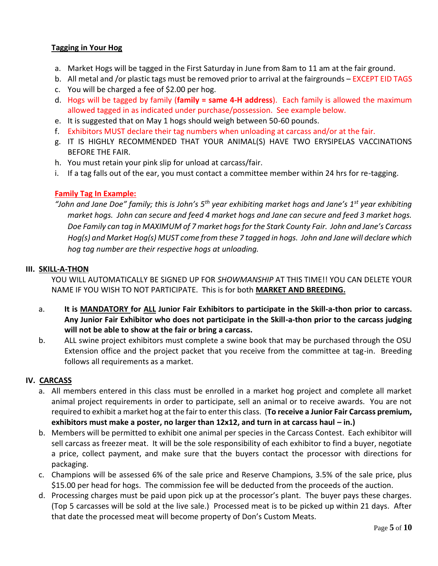#### **Tagging in Your Hog**

- a. Market Hogs will be tagged in the First Saturday in June from 8am to 11 am at the fair ground.
- b. All metal and /or plastic tags must be removed prior to arrival at the fairgrounds EXCEPT EID TAGS
- c. You will be charged a fee of \$2.00 per hog.
- d. Hogs will be tagged by family (**family = same 4-H address**). Each family is allowed the maximum allowed tagged in as indicated under purchase/possession. See example below.
- e. It is suggested that on May 1 hogs should weigh between 50-60 pounds.
- f. Exhibitors MUST declare their tag numbers when unloading at carcass and/or at the fair.
- g. IT IS HIGHLY RECOMMENDED THAT YOUR ANIMAL(S) HAVE TWO ERYSIPELAS VACCINATIONS BEFORE THE FAIR.
- h. You must retain your pink slip for unload at carcass/fair.
- i. If a tag falls out of the ear, you must contact a committee member within 24 hrs for re-tagging.

#### **Family Tag In Example:**

*"John and Jane Doe" family; this is John's 5th year exhibiting market hogs and Jane's 1st year exhibiting market hogs. John can secure and feed 4 market hogs and Jane can secure and feed 3 market hogs. Doe Family can tag in MAXIMUM of 7 market hogs for the Stark County Fair. John and Jane's Carcass Hog(s) and Market Hog(s) MUST come from these 7 tagged in hogs. John and Jane will declare which hog tag number are their respective hogs at unloading.* 

#### **III. SKILL-A-THON**

YOU WILL AUTOMATICALLY BE SIGNED UP FOR *SHOWMANSHIP* AT THIS TIME!! YOU CAN DELETE YOUR NAME IF YOU WISH TO NOT PARTICIPATE. This is for both **MARKET AND BREEDING.**

- a. **It is MANDATORY for ALL Junior Fair Exhibitors to participate in the Skill-a-thon prior to carcass. Any Junior Fair Exhibitor who does not participate in the Skill-a-thon prior to the carcass judging will not be able to show at the fair or bring a carcass.**
- b. ALL swine project exhibitors must complete a swine book that may be purchased through the OSU Extension office and the project packet that you receive from the committee at tag-in. Breeding follows all requirements as a market.

#### **IV. CARCASS**

- a. All members entered in this class must be enrolled in a market hog project and complete all market animal project requirements in order to participate, sell an animal or to receive awards. You are not required to exhibit a market hog at the fair to enter this class. (**To receive a Junior Fair Carcass premium, exhibitors must make a poster, no larger than 12x12, and turn in at carcass haul – in.)**
- b. Members will be permitted to exhibit one animal per species in the Carcass Contest. Each exhibitor will sell carcass as freezer meat. It will be the sole responsibility of each exhibitor to find a buyer, negotiate a price, collect payment, and make sure that the buyers contact the processor with directions for packaging.
- c. Champions will be assessed 6% of the sale price and Reserve Champions, 3.5% of the sale price, plus \$15.00 per head for hogs. The commission fee will be deducted from the proceeds of the auction.
- d. Processing charges must be paid upon pick up at the processor's plant. The buyer pays these charges. (Top 5 carcasses will be sold at the live sale.) Processed meat is to be picked up within 21 days. After that date the processed meat will become property of Don's Custom Meats.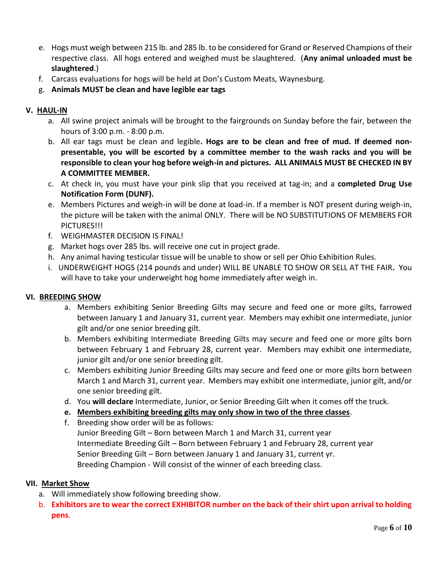- e. Hogs must weigh between 215 lb. and 285 lb. to be considered for Grand or Reserved Champions of their respective class. All hogs entered and weighed must be slaughtered. (**Any animal unloaded must be slaughtered**.)
- f. Carcass evaluations for hogs will be held at Don's Custom Meats, Waynesburg.
- g. **Animals MUST be clean and have legible ear tags**

#### **V. HAUL-IN**

- a. All swine project animals will be brought to the fairgrounds on Sunday before the fair, between the hours of 3:00 p.m. - 8:00 p.m.
- b. All ear tags must be clean and legible**. Hogs are to be clean and free of mud. If deemed nonpresentable, you will be escorted by a committee member to the wash racks and you will be responsible to clean your hog before weigh-in and pictures. ALL ANIMALS MUST BE CHECKED IN BY A COMMITTEE MEMBER.**
- c. At check in, you must have your pink slip that you received at tag-in; and a **completed Drug Use Notification Form (DUNF).**
- e. Members Pictures and weigh-in will be done at load-in. If a member is NOT present during weigh-in, the picture will be taken with the animal ONLY. There will be NO SUBSTITUTIONS OF MEMBERS FOR PICTURES!!!
- f. WEIGHMASTER DECISION IS FINAL!
- g. Market hogs over 285 lbs. will receive one cut in project grade.
- h. Any animal having testicular tissue will be unable to show or sell per Ohio Exhibition Rules.
- i. UNDERWEIGHT HOGS (214 pounds and under) WILL BE UNABLE TO SHOW OR SELL AT THE FAIR**.** You will have to take your underweight hog home immediately after weigh in.

#### **VI. BREEDING SHOW**

- a. Members exhibiting Senior Breeding Gilts may secure and feed one or more gilts, farrowed between January 1 and January 31, current year. Members may exhibit one intermediate, junior gilt and/or one senior breeding gilt.
- b. Members exhibiting Intermediate Breeding Gilts may secure and feed one or more gilts born between February 1 and February 28, current year. Members may exhibit one intermediate, junior gilt and/or one senior breeding gilt.
- c. Members exhibiting Junior Breeding Gilts may secure and feed one or more gilts born between March 1 and March 31, current year. Members may exhibit one intermediate, junior gilt, and/or one senior breeding gilt.
- d. You **will declare** Intermediate, Junior, or Senior Breeding Gilt when it comes off the truck.
- **e. Members exhibiting breeding gilts may only show in two of the three classes**.
- f. Breeding show order will be as follows: Junior Breeding Gilt – Born between March 1 and March 31, current year Intermediate Breeding Gilt – Born between February 1 and February 28, current year Senior Breeding Gilt – Born between January 1 and January 31, current yr. Breeding Champion - Will consist of the winner of each breeding class.

#### **VII. Market Show**

- a. Will immediately show following breeding show.
- b. **Exhibitors are to wear the correct EXHIBITOR number on the back of their shirt upon arrival to holding pens**.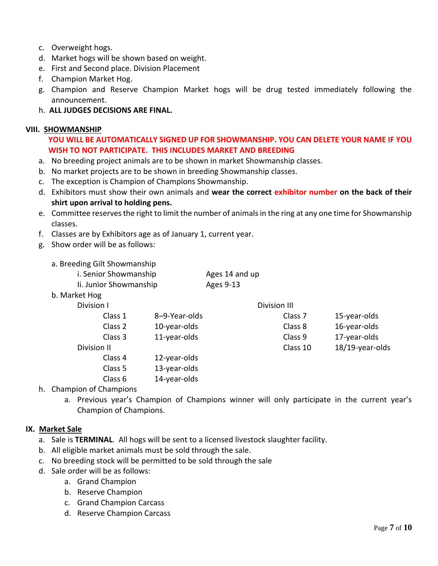- c. Overweight hogs.
- d. Market hogs will be shown based on weight.
- e. First and Second place. Division Placement
- f. Champion Market Hog.
- g. Champion and Reserve Champion Market hogs will be drug tested immediately following the announcement.
- h. **ALL JUDGES DECISIONS ARE FINAL.**

#### **VIII. SHOWMANSHIP**

**YOU WILL BE AUTOMATICALLY SIGNED UP FOR SHOWMANSHIP. YOU CAN DELETE YOUR NAME IF YOU WISH TO NOT PARTICIPATE. THIS INCLUDES MARKET AND BREEDING**

- a. No breeding project animals are to be shown in market Showmanship classes.
- b. No market projects are to be shown in breeding Showmanship classes.
- c. The exception is Champion of Champions Showmanship.
- d. Exhibitors must show their own animals and **wear the correct exhibitor number on the back of their shirt upon arrival to holding pens.**
- e. Committee reserves the right to limit the number of animals in the ring at any one time for Showmanship classes.
- f. Classes are by Exhibitors age as of January 1, current year.
- g. Show order will be as follows:
	- a. Breeding Gilt Showmanship

| i. Senior Showmanship  | Ages 14 and up |
|------------------------|----------------|
| Ii. Junior Showmanship | Ages 9-13      |

b. Market Hog

| Division I  | <b>Division III</b> |                    |                 |
|-------------|---------------------|--------------------|-----------------|
| Class 1     | 8-9-Year-olds       | Class <sub>7</sub> | 15-year-olds    |
| Class 2     | 10-year-olds        | Class 8            | 16-year-olds    |
| Class 3     | 11-year-olds        | Class 9            | 17-year-olds    |
| Division II |                     | Class 10           | 18/19-year-olds |
| Class 4     | 12-year-olds        |                    |                 |
| Class 5     | 13-year-olds        |                    |                 |
| Class 6     | 14-year-olds        |                    |                 |

h. Champion of Champions

a. Previous year's Champion of Champions winner will only participate in the current year's Champion of Champions.

#### **IX. Market Sale**

- a. Sale is **TERMINAL**. All hogs will be sent to a licensed livestock slaughter facility.
- b. All eligible market animals must be sold through the sale.
- c. No breeding stock will be permitted to be sold through the sale
- d. Sale order will be as follows:
	- a. Grand Champion
	- b. Reserve Champion
	- c. Grand Champion Carcass
	- d. Reserve Champion Carcass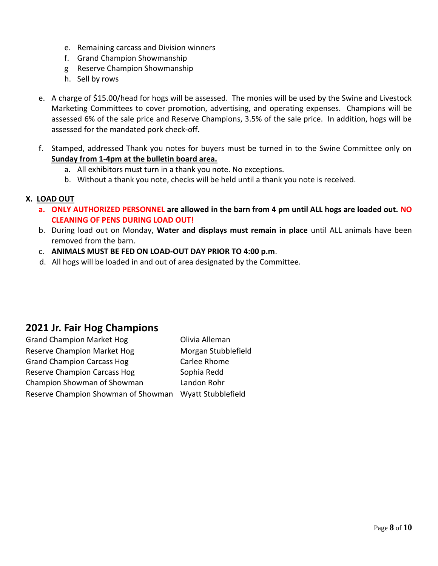- e. Remaining carcass and Division winners
- f. Grand Champion Showmanship
- g Reserve Champion Showmanship
- h. Sell by rows
- e. A charge of \$15.00/head for hogs will be assessed. The monies will be used by the Swine and Livestock Marketing Committees to cover promotion, advertising, and operating expenses. Champions will be assessed 6% of the sale price and Reserve Champions, 3.5% of the sale price. In addition, hogs will be assessed for the mandated pork check-off.
- f. Stamped, addressed Thank you notes for buyers must be turned in to the Swine Committee only on **Sunday from 1-4pm at the bulletin board area.**
	- a. All exhibitors must turn in a thank you note. No exceptions.
	- b. Without a thank you note, checks will be held until a thank you note is received.

#### **X. LOAD OUT**

- **a. ONLY AUTHORIZED PERSONNEL are allowed in the barn from 4 pm until ALL hogs are loaded out. NO CLEANING OF PENS DURING LOAD OUT!**
- b. During load out on Monday, **Water and displays must remain in place** until ALL animals have been removed from the barn.
- c. **ANIMALS MUST BE FED ON LOAD-OUT DAY PRIOR TO 4:00 p.m**.
- d. All hogs will be loaded in and out of area designated by the Committee.

## **2021 Jr. Fair Hog Champions**

| <b>Grand Champion Market Hog</b>                       | Olivia Alleman      |
|--------------------------------------------------------|---------------------|
| Reserve Champion Market Hog                            | Morgan Stubblefield |
| <b>Grand Champion Carcass Hog</b>                      | Carlee Rhome        |
| <b>Reserve Champion Carcass Hog</b>                    | Sophia Redd         |
| Champion Showman of Showman                            | Landon Rohr         |
| Reserve Champion Showman of Showman Wyatt Stubblefield |                     |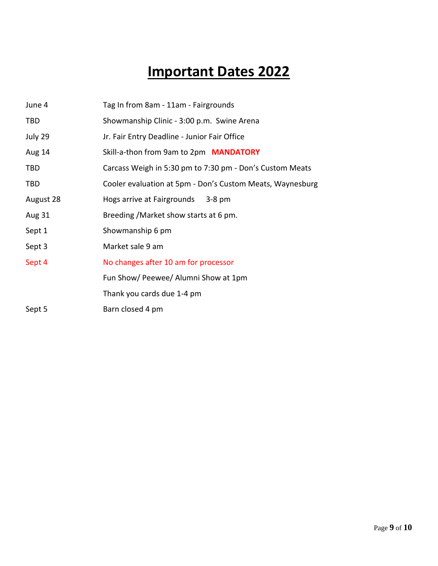# **Important Dates 2022**

| June 4        | Tag In from 8am - 11am - Fairgrounds                      |
|---------------|-----------------------------------------------------------|
| TBD           | Showmanship Clinic - 3:00 p.m. Swine Arena                |
| July 29       | Jr. Fair Entry Deadline - Junior Fair Office              |
| <b>Aug 14</b> | Skill-a-thon from 9am to 2pm MANDATORY                    |
| TBD           | Carcass Weigh in 5:30 pm to 7:30 pm - Don's Custom Meats  |
| <b>TBD</b>    | Cooler evaluation at 5pm - Don's Custom Meats, Waynesburg |
| August 28     | Hogs arrive at Fairgrounds 3-8 pm                         |
| Aug 31        | Breeding / Market show starts at 6 pm.                    |
| Sept 1        | Showmanship 6 pm                                          |
| Sept 3        | Market sale 9 am                                          |
| Sept 4        | No changes after 10 am for processor                      |
|               | Fun Show/ Peewee/ Alumni Show at 1pm                      |
|               | Thank you cards due 1-4 pm                                |
| Sept 5        | Barn closed 4 pm                                          |
|               |                                                           |